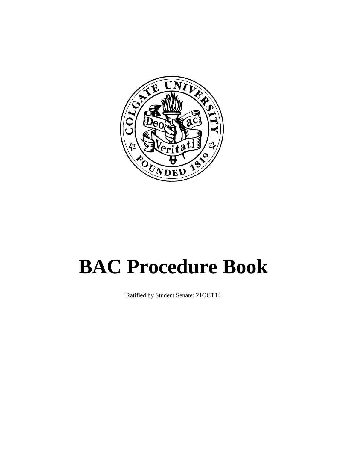

# **BAC Procedure Book**

Ratified by Student Senate: 21OCT14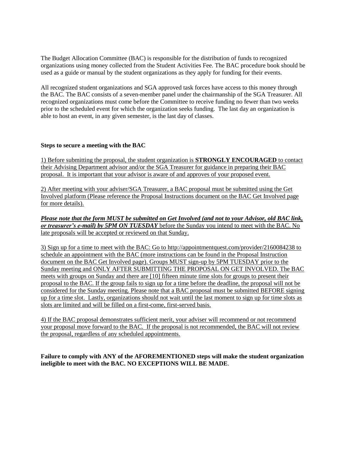The Budget Allocation Committee (BAC) is responsible for the distribution of funds to recognized organizations using money collected from the Student Activities Fee. The BAC procedure book should be used as a guide or manual by the student organizations as they apply for funding for their events.

All recognized student organizations and SGA approved task forces have access to this money through the BAC. The BAC consists of a seven-member panel under the chairmanship of the SGA Treasurer. All recognized organizations must come before the Committee to receive funding no fewer than two weeks prior to the scheduled event for which the organization seeks funding. The last day an organization is able to host an event, in any given semester, is the last day of classes.

# **Steps to secure a meeting with the BAC**

1) Before submitting the proposal, the student organization is **STRONGLY ENCOURAGED** to contact their Advising Department advisor and/or the SGA Treasurer for guidance in preparing their BAC proposal. It is important that your advisor is aware of and approves of your proposed event.

2) After meeting with your adviser/SGA Treasurer, a BAC proposal must be submitted using the Get Involved platform (Please reference the Proposal Instructions document on the BAC Get Involved page for more details).

*Please note that the form MUST be submitted on Get Involved (and not to your Advisor, old BAC link, or treasurer's e-mail) by 5PM ON TUESDAY* before the Sunday you intend to meet with the BAC. No late proposals will be accepted or reviewed on that Sunday.

3) Sign up for a time to meet with the BAC: Go to http://appointmentquest.com/provider/2160084238 to schedule an appointment with the BAC (more instructions can be found in the Proposal Instruction document on the BAC Get Involved page). Groups MUST sign-up by 5PM TUESDAY prior to the Sunday meeting and ONLY AFTER SUBMITTING THE PROPOSAL ON GET INVOLVED. The BAC meets with groups on Sunday and there are [10] fifteen minute time slots for groups to present their proposal to the BAC. If the group fails to sign up for a time before the deadline, the proposal will not be considered for the Sunday meeting. Please note that a BAC proposal must be submitted BEFORE signing up for a time slot. Lastly, organizations should not wait until the last moment to sign up for time slots as slots are limited and will be filled on a first-come, first-served basis.

4) If the BAC proposal demonstrates sufficient merit, your adviser will recommend or not recommend your proposal move forward to the BAC. If the proposal is not recommended, the BAC will not review the proposal, regardless of any scheduled appointments.

**Failure to comply with ANY of the AFOREMENTIONED steps will make the student organization ineligible to meet with the BAC. NO EXCEPTIONS WILL BE MADE**.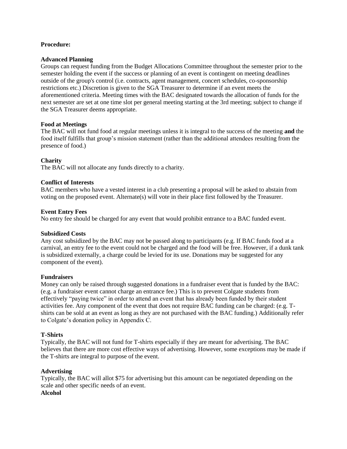# **Procedure:**

## **Advanced Planning**

Groups can request funding from the Budget Allocations Committee throughout the semester prior to the semester holding the event if the success or planning of an event is contingent on meeting deadlines outside of the group's control (i.e. contracts, agent management, concert schedules, co-sponsorship restrictions etc.) Discretion is given to the SGA Treasurer to determine if an event meets the aforementioned criteria. Meeting times with the BAC designated towards the allocation of funds for the next semester are set at one time slot per general meeting starting at the 3rd meeting; subject to change if the SGA Treasurer deems appropriate.

## **Food at Meetings**

The BAC will not fund food at regular meetings unless it is integral to the success of the meeting **and** the food itself fulfills that group's mission statement (rather than the additional attendees resulting from the presence of food.)

## **Charity**

The BAC will not allocate any funds directly to a charity.

## **Conflict of Interests**

BAC members who have a vested interest in a club presenting a proposal will be asked to abstain from voting on the proposed event. Alternate(s) will vote in their place first followed by the Treasurer.

## **Event Entry Fees**

No entry fee should be charged for any event that would prohibit entrance to a BAC funded event.

#### **Subsidized Costs**

Any cost subsidized by the BAC may not be passed along to participants (e.g. If BAC funds food at a carnival, an entry fee to the event could not be charged and the food will be free. However, if a dunk tank is subsidized externally, a charge could be levied for its use. Donations may be suggested for any component of the event).

#### **Fundraisers**

Money can only be raised through suggested donations in a fundraiser event that is funded by the BAC: (e.g. a fundraiser event cannot charge an entrance fee.) This is to prevent Colgate students from effectively "paying twice" in order to attend an event that has already been funded by their student activities fee. Any component of the event that does not require BAC funding can be charged: (e.g. Tshirts can be sold at an event as long as they are not purchased with the BAC funding.) Additionally refer to Colgate's donation policy in Appendix C.

# **T-Shirts**

Typically, the BAC will not fund for T-shirts especially if they are meant for advertising. The BAC believes that there are more cost effective ways of advertising. However, some exceptions may be made if the T-shirts are integral to purpose of the event.

# **Advertising**

Typically, the BAC will allot \$75 for advertising but this amount can be negotiated depending on the scale and other specific needs of an event. **Alcohol**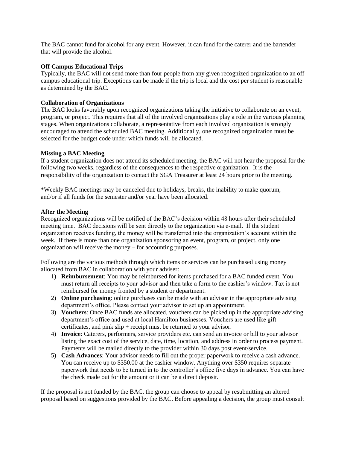The BAC cannot fund for alcohol for any event. However, it can fund for the caterer and the bartender that will provide the alcohol.

# **Off Campus Educational Trips**

Typically, the BAC will not send more than four people from any given recognized organization to an off campus educational trip. Exceptions can be made if the trip is local and the cost per student is reasonable as determined by the BAC.

# **Collaboration of Organizations**

The BAC looks favorably upon recognized organizations taking the initiative to collaborate on an event, program, or project. This requires that all of the involved organizations play a role in the various planning stages. When organizations collaborate, a representative from each involved organization is strongly encouraged to attend the scheduled BAC meeting. Additionally, one recognized organization must be selected for the budget code under which funds will be allocated.

## **Missing a BAC Meeting**

If a student organization does not attend its scheduled meeting, the BAC will not hear the proposal for the following two weeks, regardless of the consequences to the respective organization. It is the responsibility of the organization to contact the SGA Treasurer at least 24 hours prior to the meeting.

\*Weekly BAC meetings may be canceled due to holidays, breaks, the inability to make quorum, and/or if all funds for the semester and/or year have been allocated.

## **After the Meeting**

Recognized organizations will be notified of the BAC's decision within 48 hours after their scheduled meeting time. BAC decisions will be sent directly to the organization via e-mail. If the student organization receives funding, the money will be transferred into the organization's account within the week. If there is more than one organization sponsoring an event, program, or project, only one organization will receive the money – for accounting purposes.

Following are the various methods through which items or services can be purchased using money allocated from BAC in collaboration with your adviser:

- 1) **Reimbursement**: You may be reimbursed for items purchased for a BAC funded event. You must return all receipts to your advisor and then take a form to the cashier's window. Tax is not reimbursed for money fronted by a student or department.
- 2) **Online purchasing**: online purchases can be made with an advisor in the appropriate advising department's office. Please contact your advisor to set up an appointment.
- 3) **Vouchers**: Once BAC funds are allocated, vouchers can be picked up in the appropriate advising department's office and used at local Hamilton businesses. Vouchers are used like gift certificates, and pink slip + receipt must be returned to your advisor.
- 4) **Invoice**: Caterers, performers, service providers etc. can send an invoice or bill to your advisor listing the exact cost of the service, date, time, location, and address in order to process payment. Payments will be mailed directly to the provider within 30 days post event/service.
- 5) **Cash Advances**: Your advisor needs to fill out the proper paperwork to receive a cash advance. You can receive up to \$350.00 at the cashier window. Anything over \$350 requires separate paperwork that needs to be turned in to the controller's office five days in advance. You can have the check made out for the amount or it can be a direct deposit.

If the proposal is not funded by the BAC, the group can choose to appeal by resubmitting an altered proposal based on suggestions provided by the BAC. Before appealing a decision, the group must consult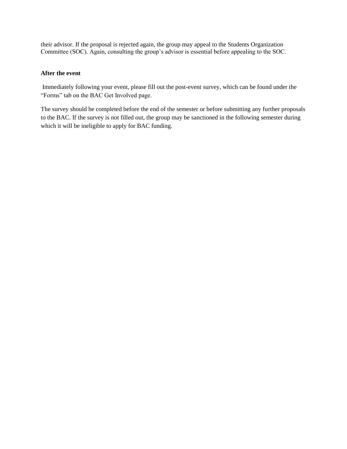their advisor. If the proposal is rejected again, the group may appeal to the Students Organization Committee (SOC). Again, consulting the group's advisor is essential before appealing to the SOC.

# **After the event**

Immediately following your event, please fill out the post-event survey, which can be found under the "Forms" tab on the BAC Get Involved page.

The survey should be completed before the end of the semester or before submitting any further proposals to the BAC. If the survey is not filled out, the group may be sanctioned in the following semester during which it will be ineligible to apply for BAC funding.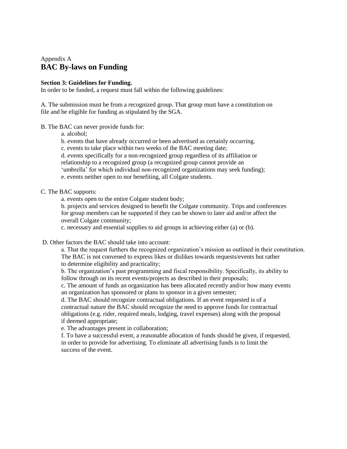# Appendix A **BAC By-laws on Funding**

## **Section 3: Guidelines for Funding.**

In order to be funded, a request must fall within the following guidelines:

A. The submission must be from a recognized group. That group must have a constitution on file and be eligible for funding as stipulated by the SGA.

B. The BAC can never provide funds for:

a. alcohol;

b. events that have already occurred or been advertised as certainly occurring.

c. events to take place within two weeks of the BAC meeting date;

d. events specifically for a non-recognized group regardless of its affiliation or

relationship to a recognized group (a recognized group cannot provide an

'umbrella' for which individual non-recognized organizations may seek funding);

e. events neither open to nor benefiting, all Colgate students.

# C. The BAC supports:

a. events open to the entire Colgate student body;

b. projects and services designed to benefit the Colgate community. Trips and conferences for group members can be supported if they can be shown to later aid and/or affect the overall Colgate community;

c. necessary and essential supplies to aid groups in achieving either (a) or (b).

D. Other factors the BAC should take into account:

a. That the request furthers the recognized organization's mission as outlined in their constitution. The BAC is not convened to express likes or dislikes towards requests/events but rather to determine eligibility and practicality;

b. The organization's past programming and fiscal responsibility. Specifically, its ability to follow through on its recent events/projects as described in their proposals;

c. The amount of funds an organization has been allocated recently and/or how many events an organization has sponsored or plans to sponsor in a given semester;

d. The BAC should recognize contractual obligations. If an event requested is of a contractual nature the BAC should recognize the need to approve funds for contractual obligations (e.g. rider, required meals, lodging, travel expenses) along with the proposal if deemed appropriate;

e. The advantages present in collaboration;

f. To have a successful event, a reasonable allocation of funds should be given, if requested, in order to provide for advertising. To eliminate all advertising funds is to limit the success of the event.